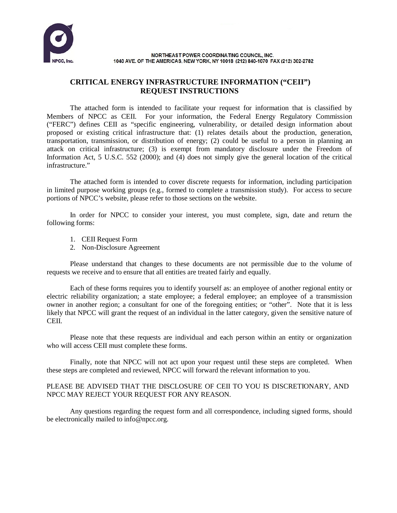

NORTHEAST POWER COORDINATING COUNCIL. INC. 1040 AVE. OF THE AMERICAS, NEW YORK, NY 10018 (212) 840-1070 FAX (212) 302-2782

## **CRITICAL ENERGY INFRASTRUCTURE INFORMATION ("CEII") REQUEST INSTRUCTIONS**

The attached form is intended to facilitate your request for information that is classified by Members of NPCC as CEII. For your information, the Federal Energy Regulatory Commission ("FERC") defines CEII as "specific engineering, vulnerability, or detailed design information about proposed or existing critical infrastructure that: (1) relates details about the production, generation, transportation, transmission, or distribution of energy; (2) could be useful to a person in planning an attack on critical infrastructure; (3) is exempt from mandatory disclosure under the Freedom of Information Act, 5 U.S.C. 552 (2000); and (4) does not simply give the general location of the critical infrastructure."

The attached form is intended to cover discrete requests for information, including participation in limited purpose working groups (e.g., formed to complete a transmission study). For access to secure portions of NPCC's website, please refer to those sections on the website.

In order for NPCC to consider your interest, you must complete, sign, date and return the following forms:

- 1. CEII Request Form
- 2. Non-Disclosure Agreement

Please understand that changes to these documents are not permissible due to the volume of requests we receive and to ensure that all entities are treated fairly and equally.

Each of these forms requires you to identify yourself as: an employee of another regional entity or electric reliability organization; a state employee; a federal employee; an employee of a transmission owner in another region; a consultant for one of the foregoing entities; or "other". Note that it is less likely that NPCC will grant the request of an individual in the latter category, given the sensitive nature of CEII.

Please note that these requests are individual and each person within an entity or organization who will access CEII must complete these forms.

Finally, note that NPCC will not act upon your request until these steps are completed. When these steps are completed and reviewed, NPCC will forward the relevant information to you.

## PLEASE BE ADVISED THAT THE DISCLOSURE OF CEII TO YOU IS DISCRETIONARY, AND NPCC MAY REJECT YOUR REQUEST FOR ANY REASON.

Any questions regarding the request form and all correspondence, including signed forms, should be electronically mailed to [info@npcc.org.](mailto:info@npcc.org)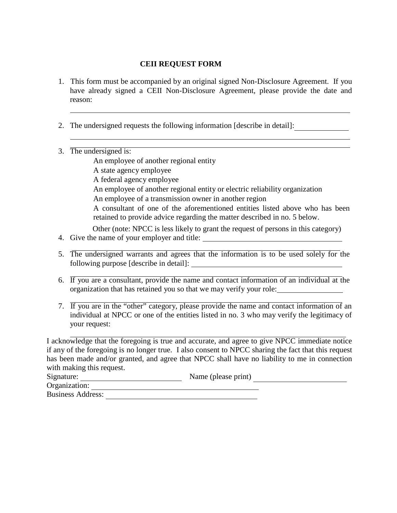## **CEII REQUEST FORM**

- 1. This form must be accompanied by an original signed Non-Disclosure Agreement. If you have already signed a CEII Non-Disclosure Agreement, please provide the date and reason:
- 2. The undersigned requests the following information [describe in detail]:
- 3. The undersigned is:

An employee of another regional entity A state agency employee A federal agency employee An employee of another regional entity or electric reliability organization An employee of a transmission owner in another region A consultant of one of the aforementioned entities listed above who has been retained to provide advice regarding the matter described in no. 5 below. Other (note: NPCC is less likely to grant the request of persons in this category)

- 4. Give the name of your employer and title:
- 5. The undersigned warrants and agrees that the information is to be used solely for the following purpose [describe in detail]:
- 6. If you are a consultant, provide the name and contact information of an individual at the organization that has retained you so that we may verify your role:
- 7. If you are in the "other" category, please provide the name and contact information of an individual at NPCC or one of the entities listed in no. 3 who may verify the legitimacy of your request:

I acknowledge that the foregoing is true and accurate, and agree to give NPCC immediate notice if any of the foregoing is no longer true. I also consent to NPCC sharing the fact that this request has been made and/or granted, and agree that NPCC shall have no liability to me in connection with making this request.

| Signature:               | Name (please print) |
|--------------------------|---------------------|
| Organization:            |                     |
| <b>Business Address:</b> |                     |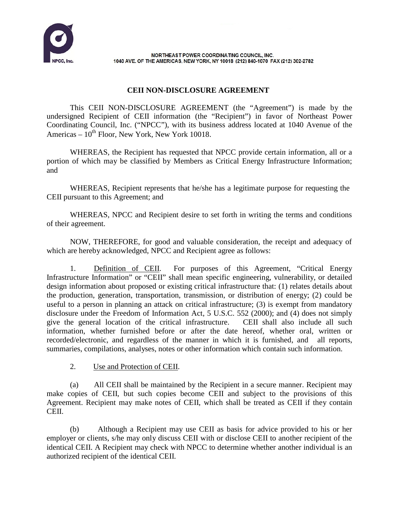

NORTHEAST POWER COORDINATING COUNCIL. INC. 1040 AVE. OF THE AMERICAS, NEW YORK, NY 10018 (212) 840-1070 FAX (212) 302-2782

## **CEII NON-DISCLOSURE AGREEMENT**

This CEII NON-DISCLOSURE AGREEMENT (the "Agreement") is made by the undersigned Recipient of CEII information (the "Recipient") in favor of Northeast Power Coordinating Council, Inc. ("NPCC"), with its business address located at 1040 Avenue of the Americas –  $10^{th}$  Floor, New York, New York 10018.

WHEREAS, the Recipient has requested that NPCC provide certain information, all or a portion of which may be classified by Members as Critical Energy Infrastructure Information; and

WHEREAS, Recipient represents that he/she has a legitimate purpose for requesting the CEII pursuant to this Agreement; and

WHEREAS, NPCC and Recipient desire to set forth in writing the terms and conditions of their agreement.

NOW, THEREFORE, for good and valuable consideration, the receipt and adequacy of which are hereby acknowledged, NPCC and Recipient agree as follows:

1. Definition of CEII. For purposes of this Agreement, "Critical Energy Infrastructure Information" or "CEII" shall mean specific engineering, vulnerability, or detailed design information about proposed or existing critical infrastructure that: (1) relates details about the production, generation, transportation, transmission, or distribution of energy; (2) could be useful to a person in planning an attack on critical infrastructure; (3) is exempt from mandatory disclosure under the Freedom of Information Act, 5 U.S.C. 552 (2000); and (4) does not simply give the general location of the critical infrastructure. CEII shall also include all such information, whether furnished before or after the date hereof, whether oral, written or recorded/electronic, and regardless of the manner in which it is furnished, and all reports, summaries, compilations, analyses, notes or other information which contain such information.

2. Use and Protection of CEII.

(a) All CEII shall be maintained by the Recipient in a secure manner. Recipient may make copies of CEII, but such copies become CEII and subject to the provisions of this Agreement. Recipient may make notes of CEII, which shall be treated as CEII if they contain CEII.

(b) Although a Recipient may use CEII as basis for advice provided to his or her employer or clients, s/he may only discuss CEII with or disclose CEII to another recipient of the identical CEII. A Recipient may check with NPCC to determine whether another individual is an authorized recipient of the identical CEII.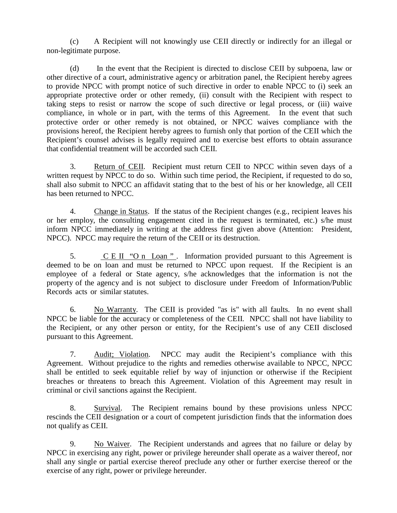(c) A Recipient will not knowingly use CEII directly or indirectly for an illegal or non-legitimate purpose.

(d) In the event that the Recipient is directed to disclose CEII by subpoena, law or other directive of a court, administrative agency or arbitration panel, the Recipient hereby agrees to provide NPCC with prompt notice of such directive in order to enable NPCC to (i) seek an appropriate protective order or other remedy, (ii) consult with the Recipient with respect to taking steps to resist or narrow the scope of such directive or legal process, or (iii) waive compliance, in whole or in part, with the terms of this Agreement. In the event that such protective order or other remedy is not obtained, or NPCC waives compliance with the provisions hereof, the Recipient hereby agrees to furnish only that portion of the CEII which the Recipient's counsel advises is legally required and to exercise best efforts to obtain assurance that confidential treatment will be accorded such CEII.

3. Return of CEII. Recipient must return CEII to NPCC within seven days of a written request by NPCC to do so. Within such time period, the Recipient, if requested to do so, shall also submit to NPCC an affidavit stating that to the best of his or her knowledge, all CEII has been returned to NPCC.

4. Change in Status. If the status of the Recipient changes (e.g., recipient leaves his or her employ, the consulting engagement cited in the request is terminated, etc.) s/he must inform NPCC immediately in writing at the address first given above (Attention: President, NPCC). NPCC may require the return of the CEII or its destruction.

5.  $C E II$  "O n Loan". Information provided pursuant to this Agreement is deemed to be on loan and must be returned to NPCC upon request. If the Recipient is an employee of a federal or State agency, s/he acknowledges that the information is not the property of the agency and is not subject to disclosure under Freedom of Information/Public Records acts or similar statutes.

6. No Warranty. The CEII is provided "as is" with all faults. In no event shall NPCC be liable for the accuracy or completeness of the CEII. NPCC shall not have liability to the Recipient, or any other person or entity, for the Recipient's use of any CEII disclosed pursuant to this Agreement.

7. Audit; Violation. NPCC may audit the Recipient's compliance with this Agreement. Without prejudice to the rights and remedies otherwise available to NPCC, NPCC shall be entitled to seek equitable relief by way of injunction or otherwise if the Recipient breaches or threatens to breach this Agreement. Violation of this Agreement may result in criminal or civil sanctions against the Recipient.

8. Survival. The Recipient remains bound by these provisions unless NPCC rescinds the CEII designation or a court of competent jurisdiction finds that the information does not qualify as CEII.

9. No Waiver. The Recipient understands and agrees that no failure or delay by NPCC in exercising any right, power or privilege hereunder shall operate as a waiver thereof, nor shall any single or partial exercise thereof preclude any other or further exercise thereof or the exercise of any right, power or privilege hereunder.